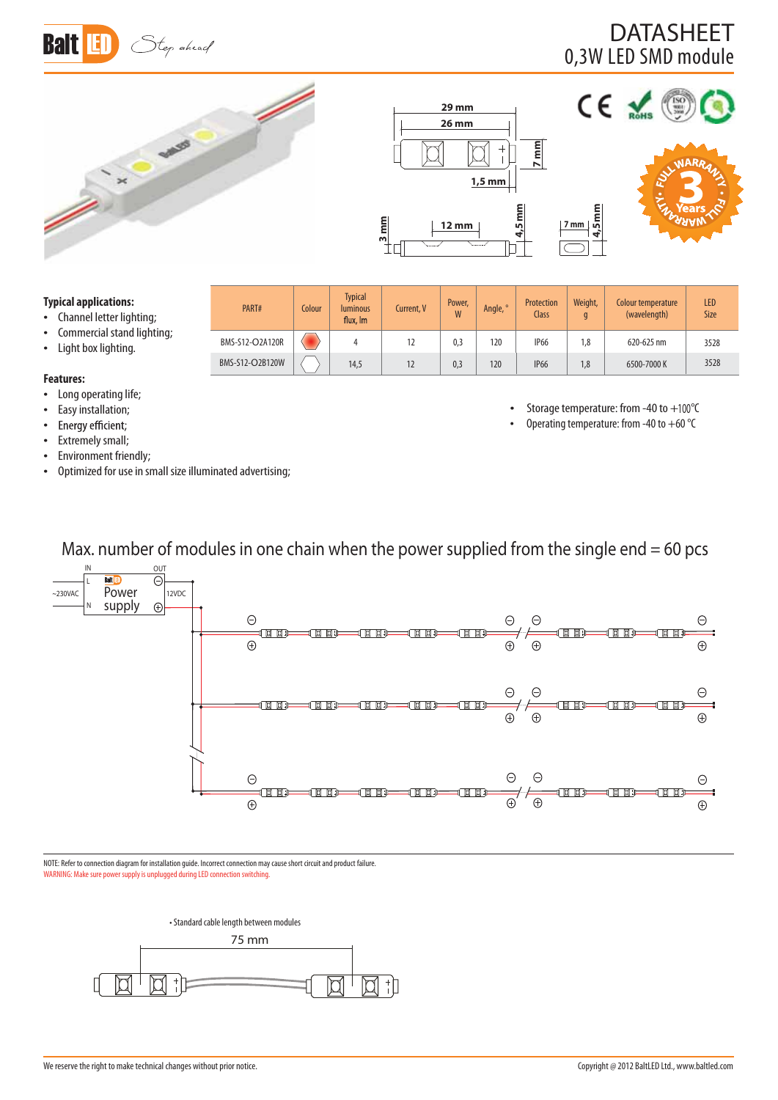

## 0,3W LED SMD module DATASHEET

Colour temperature (wavelength)



PART# Colour

Typical

luminous Current, V Power,<br>flux, Im Current, V W

BMS-S12-O2A120R 4 12 0,3 120 IP66 1,8 620-625 nm  $BMS-512-O2B120W$   $\left\langle \begin{array}{ccc} \end{array} \right\rangle$  14,5 12 12 0.3 120 1P66 1.8 6500-7000 K



<sup>W</sup> Angle, ° Protection Class



LED Size

3528 3528

### **Typical applications:**

- $\bullet$  Channel letter lighting;
- Commercial stand lighting;
- Light box lighting.
- 

### **Features:**

- Long operating life;
- 
- Easy installation;<br>• Energy efficient; t
- Extremely small;
- Environment friendly;
- Optimized for use in small size illuminated advertising;

• Storage temperature: from -40 to  $+100^{\circ}$ C

Weight, g

Operating temperature: from -40 to +60  $^{\circ}$ C

Max. number of modules in one chain when the power supplied from the single end  $= 60$  pcs



NOTE: Refer to connection diagram for installation guide. Incorrect connection may cause short circuit and product failure. WARNING: Make sure power supply is unplugged during LED connection switching.